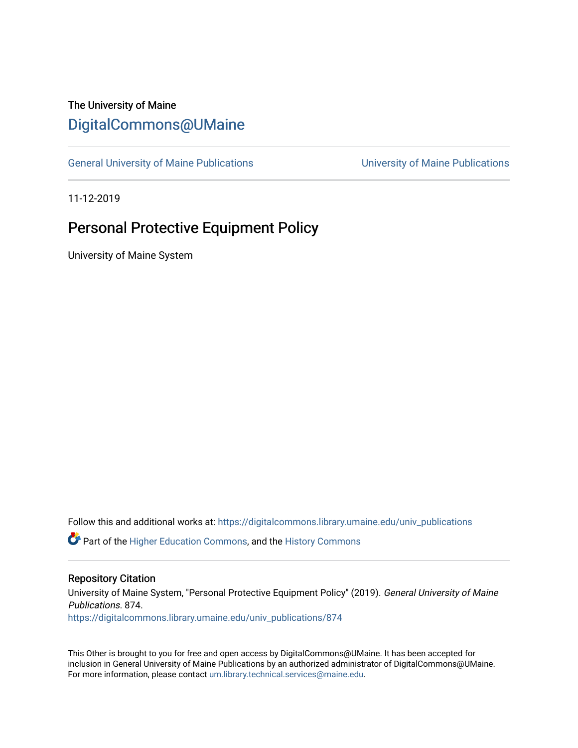## The University of Maine [DigitalCommons@UMaine](https://digitalcommons.library.umaine.edu/)

[General University of Maine Publications](https://digitalcommons.library.umaine.edu/univ_publications) [University of Maine Publications](https://digitalcommons.library.umaine.edu/umaine_publications) 

11-12-2019

# Personal Protective Equipment Policy

University of Maine System

Follow this and additional works at: [https://digitalcommons.library.umaine.edu/univ\\_publications](https://digitalcommons.library.umaine.edu/univ_publications?utm_source=digitalcommons.library.umaine.edu%2Funiv_publications%2F874&utm_medium=PDF&utm_campaign=PDFCoverPages) 

**C** Part of the [Higher Education Commons,](http://network.bepress.com/hgg/discipline/1245?utm_source=digitalcommons.library.umaine.edu%2Funiv_publications%2F874&utm_medium=PDF&utm_campaign=PDFCoverPages) and the [History Commons](http://network.bepress.com/hgg/discipline/489?utm_source=digitalcommons.library.umaine.edu%2Funiv_publications%2F874&utm_medium=PDF&utm_campaign=PDFCoverPages)

#### Repository Citation

University of Maine System, "Personal Protective Equipment Policy" (2019). General University of Maine Publications. 874. [https://digitalcommons.library.umaine.edu/univ\\_publications/874](https://digitalcommons.library.umaine.edu/univ_publications/874?utm_source=digitalcommons.library.umaine.edu%2Funiv_publications%2F874&utm_medium=PDF&utm_campaign=PDFCoverPages) 

This Other is brought to you for free and open access by DigitalCommons@UMaine. It has been accepted for inclusion in General University of Maine Publications by an authorized administrator of DigitalCommons@UMaine. For more information, please contact [um.library.technical.services@maine.edu](mailto:um.library.technical.services@maine.edu).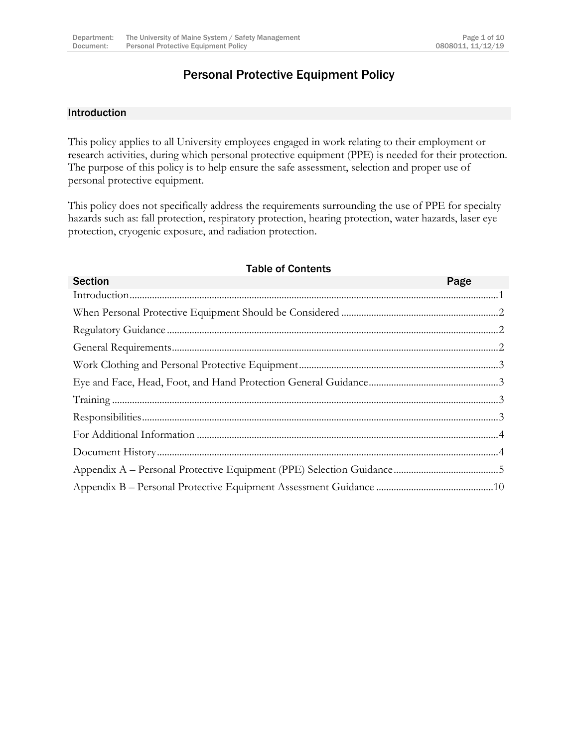## Personal Protective Equipment Policy

#### <span id="page-1-0"></span>Introduction

This policy applies to all University employees engaged in work relating to their employment or research activities, during which personal protective equipment (PPE) is needed for their protection. The purpose of this policy is to help ensure the safe assessment, selection and proper use of personal protective equipment.

This policy does not specifically address the requirements surrounding the use of PPE for specialty hazards such as: fall protection, respiratory protection, hearing protection, water hazards, laser eye protection, cryogenic exposure, and radiation protection.

#### Table of Contents

| <b>Section</b> | Page |
|----------------|------|
|                |      |
|                |      |
|                |      |
|                |      |
|                |      |
|                |      |
|                |      |
|                |      |
|                |      |
|                |      |
|                |      |
|                |      |
|                |      |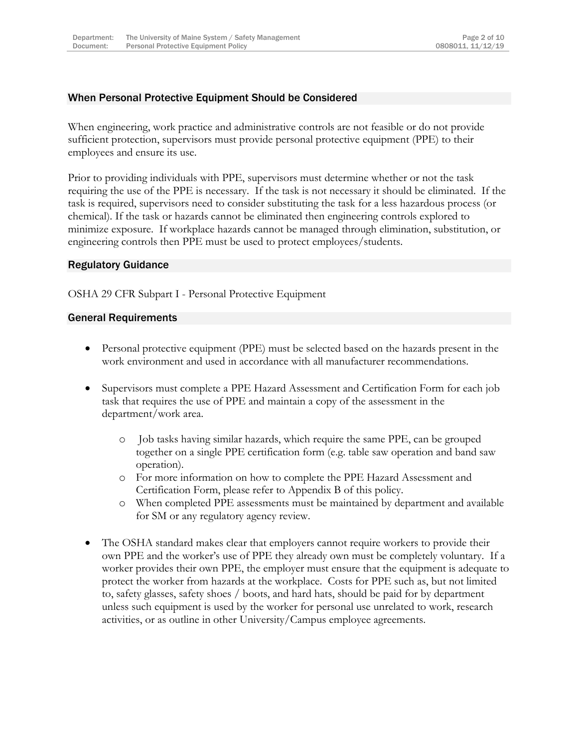## <span id="page-2-0"></span>When Personal Protective Equipment Should be Considered

When engineering, work practice and administrative controls are not feasible or do not provide sufficient protection, supervisors must provide personal protective equipment (PPE) to their employees and ensure its use.

Prior to providing individuals with PPE, supervisors must determine whether or not the task requiring the use of the PPE is necessary. If the task is not necessary it should be eliminated. If the task is required, supervisors need to consider substituting the task for a less hazardous process (or chemical). If the task or hazards cannot be eliminated then engineering controls explored to minimize exposure. If workplace hazards cannot be managed through elimination, substitution, or engineering controls then PPE must be used to protect employees/students.

#### <span id="page-2-1"></span>Regulatory Guidance

OSHA 29 CFR Subpart I - Personal Protective Equipment

#### <span id="page-2-2"></span>General Requirements

- Personal protective equipment (PPE) must be selected based on the hazards present in the work environment and used in accordance with all manufacturer recommendations.
- Supervisors must complete a PPE Hazard Assessment and Certification Form for each job task that requires the use of PPE and maintain a copy of the assessment in the department/work area.
	- o Job tasks having similar hazards, which require the same PPE, can be grouped together on a single PPE certification form (e.g. table saw operation and band saw operation).
	- o For more information on how to complete the PPE Hazard Assessment and Certification Form, please refer to Appendix B of this policy.
	- o When completed PPE assessments must be maintained by department and available for SM or any regulatory agency review.
- The OSHA standard makes clear that employers cannot require workers to provide their own PPE and the worker's use of PPE they already own must be completely voluntary. If a worker provides their own PPE, the employer must ensure that the equipment is adequate to protect the worker from hazards at the workplace. Costs for PPE such as, but not limited to, safety glasses, safety shoes / boots, and hard hats, should be paid for by department unless such equipment is used by the worker for personal use unrelated to work, research activities, or as outline in other University/Campus employee agreements.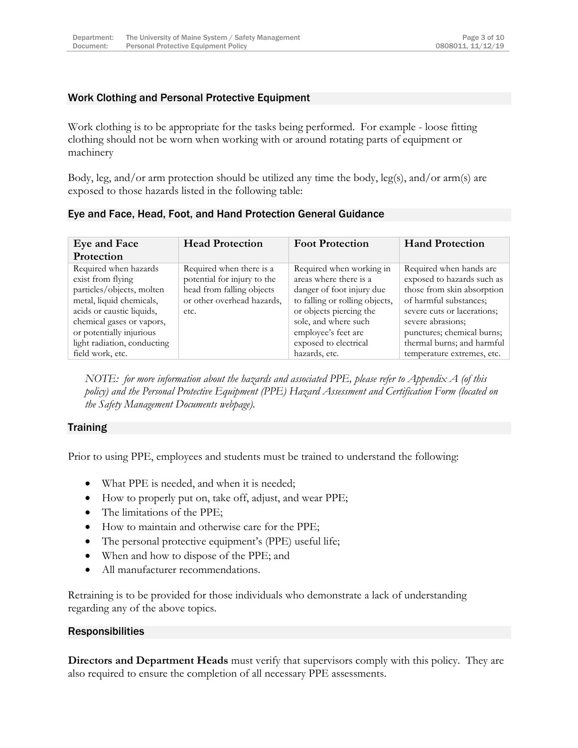## <span id="page-3-0"></span>Work Clothing and Personal Protective Equipment

Work clothing is to be appropriate for the tasks being performed. For example - loose fitting clothing should not be worn when working with or around rotating parts of equipment or machinery

Body, leg, and/or arm protection should be utilized any time the body, leg(s), and/or arm(s) are exposed to those hazards listed in the following table:

| Eye and Face                                                                                                                                                                                                             | <b>Head Protection</b>                                                                                                     | <b>Foot Protection</b>                                                                                                                                                                                               | <b>Hand Protection</b>                                                                                                                                                                                                        |
|--------------------------------------------------------------------------------------------------------------------------------------------------------------------------------------------------------------------------|----------------------------------------------------------------------------------------------------------------------------|----------------------------------------------------------------------------------------------------------------------------------------------------------------------------------------------------------------------|-------------------------------------------------------------------------------------------------------------------------------------------------------------------------------------------------------------------------------|
| Protection                                                                                                                                                                                                               |                                                                                                                            |                                                                                                                                                                                                                      |                                                                                                                                                                                                                               |
| Required when hazards<br>exist from flying<br>particles/objects, molten<br>metal, liquid chemicals,<br>acids or caustic liquids,<br>chemical gases or vapors,<br>or potentially injurious<br>light radiation, conducting | Required when there is a<br>potential for injury to the<br>head from falling objects<br>or other overhead hazards,<br>etc. | Required when working in<br>areas where there is a<br>danger of foot injury due<br>to falling or rolling objects,<br>or objects piercing the<br>sole, and where such<br>employee's feet are<br>exposed to electrical | Required when hands are<br>exposed to hazards such as<br>those from skin absorption<br>of harmful substances;<br>severe cuts or lacerations;<br>severe abrasions;<br>punctures; chemical burns;<br>thermal burns; and harmful |
| field work, etc.                                                                                                                                                                                                         |                                                                                                                            | hazards, etc.                                                                                                                                                                                                        | temperature extremes, etc.                                                                                                                                                                                                    |

<span id="page-3-1"></span>Eye and Face, Head, Foot, and Hand Protection General Guidance

*NOTE: for more information about the hazards and associated PPE, please refer to Appendix A (of this policy) and the Personal Protective Equipment (PPE) Hazard Assessment and Certification Form (located on the Safety Management Documents webpage).*

#### <span id="page-3-2"></span>**Training**

Prior to using PPE, employees and students must be trained to understand the following:

- What PPE is needed, and when it is needed;
- How to properly put on, take off, adjust, and wear PPE;
- The limitations of the PPE;
- How to maintain and otherwise care for the PPE;
- The personal protective equipment's (PPE) useful life;
- When and how to dispose of the PPE; and
- All manufacturer recommendations.

Retraining is to be provided for those individuals who demonstrate a lack of understanding regarding any of the above topics.

#### <span id="page-3-3"></span>Responsibilities

**Directors and Department Heads** must verify that supervisors comply with this policy. They are also required to ensure the completion of all necessary PPE assessments.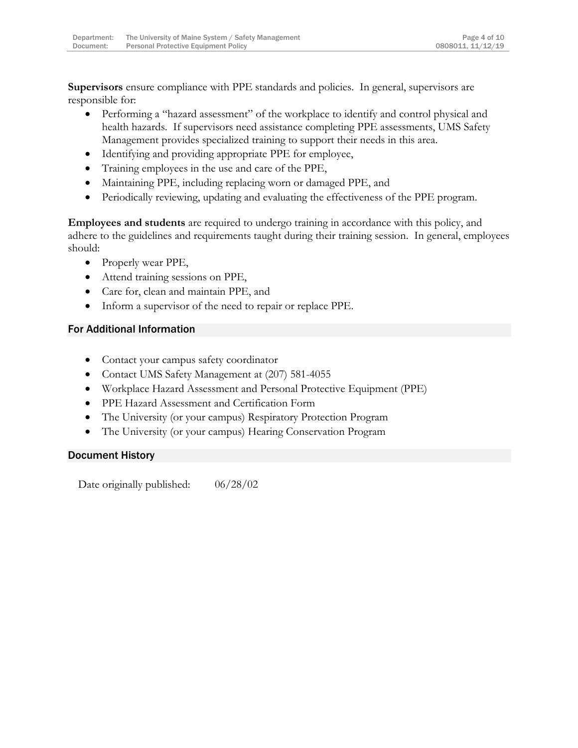**Supervisors** ensure compliance with PPE standards and policies. In general, supervisors are responsible for:

- Performing a "hazard assessment" of the workplace to identify and control physical and health hazards. If supervisors need assistance completing PPE assessments, UMS Safety Management provides specialized training to support their needs in this area.
- Identifying and providing appropriate PPE for employee,
- Training employees in the use and care of the PPE,
- Maintaining PPE, including replacing worn or damaged PPE, and
- Periodically reviewing, updating and evaluating the effectiveness of the PPE program.

**Employees and students** are required to undergo training in accordance with this policy, and adhere to the guidelines and requirements taught during their training session. In general, employees should:

- Properly wear PPE,
- Attend training sessions on PPE,
- Care for, clean and maintain PPE, and
- Inform a supervisor of the need to repair or replace PPE.

#### <span id="page-4-0"></span>For Additional Information

- Contact your campus safety coordinator
- Contact UMS Safety Management at (207) 581-4055
- Workplace Hazard Assessment and Personal Protective Equipment (PPE)
- PPE Hazard Assessment and Certification Form
- The University (or your campus) Respiratory Protection Program
- The University (or your campus) Hearing Conservation Program

## <span id="page-4-1"></span>Document History

Date originally published:  $06/28/02$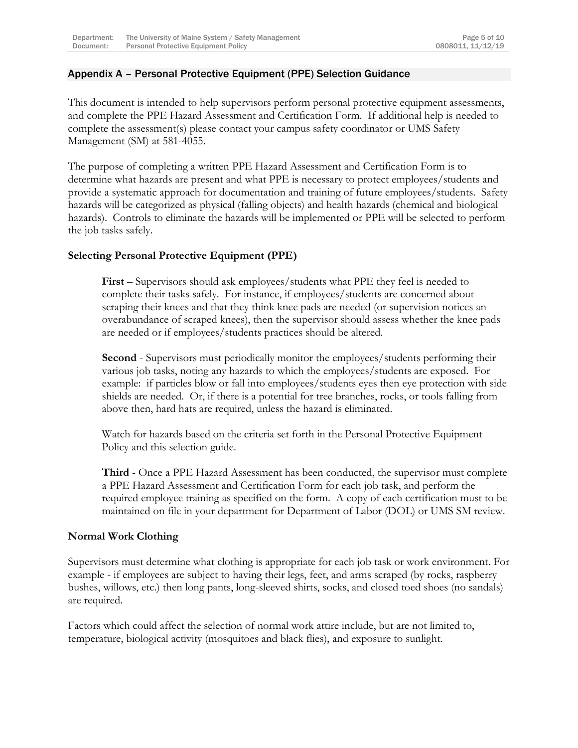## <span id="page-5-0"></span>Appendix A – Personal Protective Equipment (PPE) Selection Guidance

This document is intended to help supervisors perform personal protective equipment assessments, and complete the PPE Hazard Assessment and Certification Form. If additional help is needed to complete the assessment(s) please contact your campus safety coordinator or UMS Safety Management (SM) at 581-4055.

The purpose of completing a written PPE Hazard Assessment and Certification Form is to determine what hazards are present and what PPE is necessary to protect employees/students and provide a systematic approach for documentation and training of future employees/students. Safety hazards will be categorized as physical (falling objects) and health hazards (chemical and biological hazards). Controls to eliminate the hazards will be implemented or PPE will be selected to perform the job tasks safely.

## **Selecting Personal Protective Equipment (PPE)**

**First** – Supervisors should ask employees/students what PPE they feel is needed to complete their tasks safely. For instance, if employees/students are concerned about scraping their knees and that they think knee pads are needed (or supervision notices an overabundance of scraped knees), then the supervisor should assess whether the knee pads are needed or if employees/students practices should be altered.

**Second** - Supervisors must periodically monitor the employees/students performing their various job tasks, noting any hazards to which the employees/students are exposed. For example: if particles blow or fall into employees/students eyes then eye protection with side shields are needed. Or, if there is a potential for tree branches, rocks, or tools falling from above then, hard hats are required, unless the hazard is eliminated.

Watch for hazards based on the criteria set forth in the Personal Protective Equipment Policy and this selection guide.

**Third** - Once a PPE Hazard Assessment has been conducted, the supervisor must complete a PPE Hazard Assessment and Certification Form for each job task, and perform the required employee training as specified on the form. A copy of each certification must to be maintained on file in your department for Department of Labor (DOL) or UMS SM review.

## **Normal Work Clothing**

Supervisors must determine what clothing is appropriate for each job task or work environment. For example - if employees are subject to having their legs, feet, and arms scraped (by rocks, raspberry bushes, willows, etc.) then long pants, long-sleeved shirts, socks, and closed toed shoes (no sandals) are required.

Factors which could affect the selection of normal work attire include, but are not limited to, temperature, biological activity (mosquitoes and black flies), and exposure to sunlight.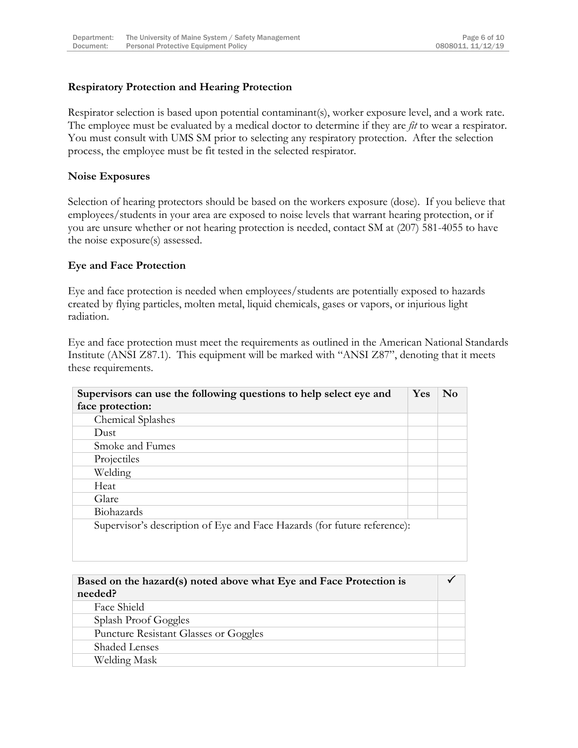## **Respiratory Protection and Hearing Protection**

Respirator selection is based upon potential contaminant(s), worker exposure level, and a work rate. The employee must be evaluated by a medical doctor to determine if they are *fit* to wear a respirator. You must consult with UMS SM prior to selecting any respiratory protection. After the selection process, the employee must be fit tested in the selected respirator.

#### **Noise Exposures**

Selection of hearing protectors should be based on the workers exposure (dose). If you believe that employees/students in your area are exposed to noise levels that warrant hearing protection, or if you are unsure whether or not hearing protection is needed, contact SM at (207) 581-4055 to have the noise exposure(s) assessed.

#### **Eye and Face Protection**

Eye and face protection is needed when employees/students are potentially exposed to hazards created by flying particles, molten metal, liquid chemicals, gases or vapors, or injurious light radiation.

Eye and face protection must meet the requirements as outlined in the American National Standards Institute (ANSI Z87.1). This equipment will be marked with "ANSI Z87", denoting that it meets these requirements.

| <b>Yes</b>                                                               | No |
|--------------------------------------------------------------------------|----|
|                                                                          |    |
|                                                                          |    |
|                                                                          |    |
|                                                                          |    |
|                                                                          |    |
|                                                                          |    |
|                                                                          |    |
|                                                                          |    |
|                                                                          |    |
| Supervisor's description of Eye and Face Hazards (for future reference): |    |
|                                                                          |    |

| Based on the hazard(s) noted above what Eye and Face Protection is<br>needed? |  |
|-------------------------------------------------------------------------------|--|
| Face Shield                                                                   |  |
| Splash Proof Goggles                                                          |  |
| Puncture Resistant Glasses or Goggles                                         |  |
| <b>Shaded Lenses</b>                                                          |  |
| Welding Mask                                                                  |  |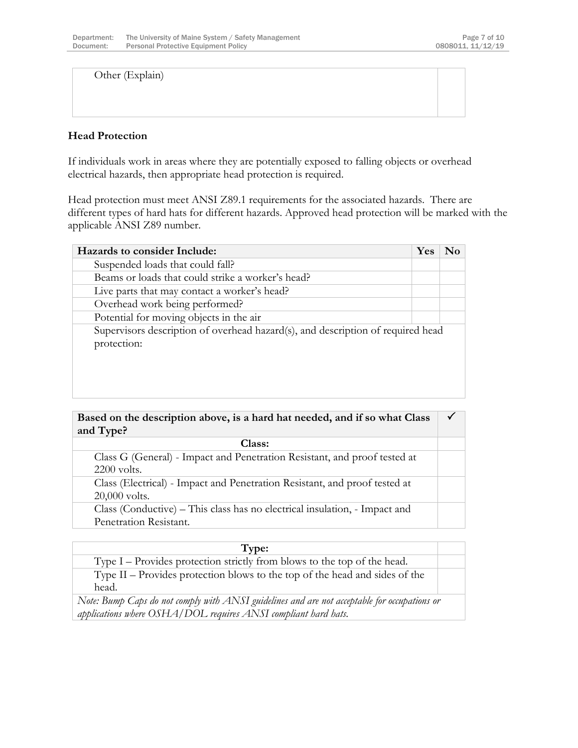Other (Explain)

## **Head Protection**

If individuals work in areas where they are potentially exposed to falling objects or overhead electrical hazards, then appropriate head protection is required.

Head protection must meet ANSI Z89.1 requirements for the associated hazards. There are different types of hard hats for different hazards. Approved head protection will be marked with the applicable ANSI Z89 number.

| Hazards to consider Include:                                                                   | Yes | Nο |
|------------------------------------------------------------------------------------------------|-----|----|
| Suspended loads that could fall?                                                               |     |    |
| Beams or loads that could strike a worker's head?                                              |     |    |
| Live parts that may contact a worker's head?                                                   |     |    |
| Overhead work being performed?                                                                 |     |    |
| Potential for moving objects in the air                                                        |     |    |
| Supervisors description of overhead hazard(s), and description of required head<br>protection: |     |    |

**Based on the description above, is a hard hat needed, and if so what Class and Type?**  $\checkmark$ 

| Class:                                                                     |  |
|----------------------------------------------------------------------------|--|
| Class G (General) - Impact and Penetration Resistant, and proof tested at  |  |
| $2200$ volts.                                                              |  |
| Class (Electrical) - Impact and Penetration Resistant, and proof tested at |  |
| $20,000$ volts.                                                            |  |
| Class (Conductive) – This class has no electrical insulation, - Impact and |  |
| Penetration Resistant.                                                     |  |

| Type:                                                                                        |  |
|----------------------------------------------------------------------------------------------|--|
| Type I – Provides protection strictly from blows to the top of the head.                     |  |
| Type $II$ – Provides protection blows to the top of the head and sides of the                |  |
| head.                                                                                        |  |
| Note: Bump Caps do not comply with ANSI guidelines and are not acceptable for occupations or |  |
| applications where OSHA/DOL requires ANSI compliant hard hats.                               |  |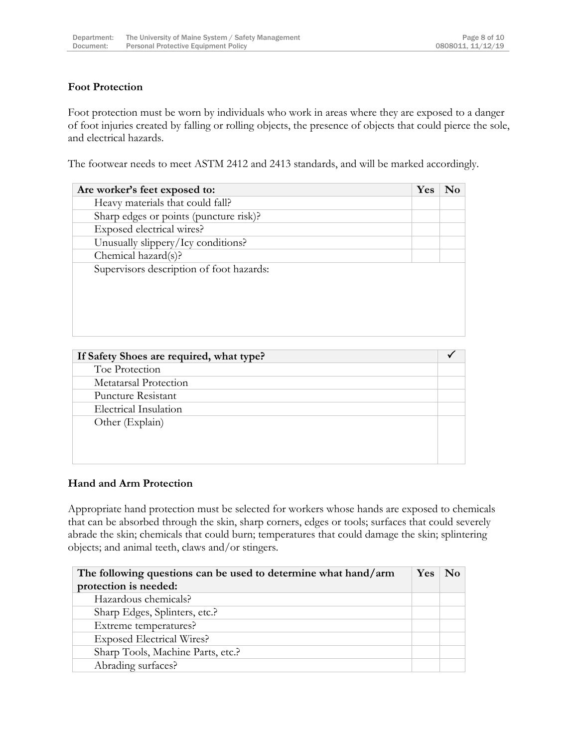## **Foot Protection**

Foot protection must be worn by individuals who work in areas where they are exposed to a danger of foot injuries created by falling or rolling objects, the presence of objects that could pierce the sole, and electrical hazards.

The footwear needs to meet ASTM 2412 and 2413 standards, and will be marked accordingly.

| Are worker's feet exposed to:            | Yes |  |
|------------------------------------------|-----|--|
| Heavy materials that could fall?         |     |  |
| Sharp edges or points (puncture risk)?   |     |  |
| Exposed electrical wires?                |     |  |
| Unusually slippery/Icy conditions?       |     |  |
| Chemical hazard(s)?                      |     |  |
| Supervisors description of foot hazards: |     |  |
|                                          |     |  |
|                                          |     |  |
|                                          |     |  |
|                                          |     |  |
|                                          |     |  |

| If Safety Shoes are required, what type? |  |
|------------------------------------------|--|
| Toe Protection                           |  |
| Metatarsal Protection                    |  |
| Puncture Resistant                       |  |
| Electrical Insulation                    |  |
| Other (Explain)                          |  |
|                                          |  |
|                                          |  |
|                                          |  |

## **Hand and Arm Protection**

Appropriate hand protection must be selected for workers whose hands are exposed to chemicals that can be absorbed through the skin, sharp corners, edges or tools; surfaces that could severely abrade the skin; chemicals that could burn; temperatures that could damage the skin; splintering objects; and animal teeth, claws and/or stingers.

| The following questions can be used to determine what hand/arm | <b>Yes</b> | $\mathbf{N}\mathbf{0}$ |
|----------------------------------------------------------------|------------|------------------------|
| protection is needed:                                          |            |                        |
| Hazardous chemicals?                                           |            |                        |
| Sharp Edges, Splinters, etc.?                                  |            |                        |
| Extreme temperatures?                                          |            |                        |
| <b>Exposed Electrical Wires?</b>                               |            |                        |
| Sharp Tools, Machine Parts, etc.?                              |            |                        |
| Abrading surfaces?                                             |            |                        |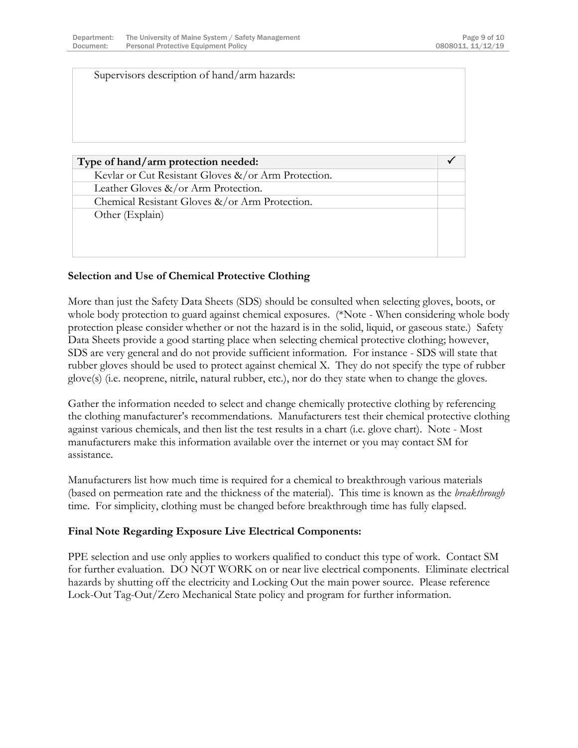| Supervisors description of hand/arm hazards:        |  |
|-----------------------------------------------------|--|
| Type of hand/arm protection needed:                 |  |
|                                                     |  |
| Kevlar or Cut Resistant Gloves &/or Arm Protection. |  |
| Leather Gloves &/or Arm Protection.                 |  |
| Chemical Resistant Gloves &/or Arm Protection.      |  |
| Other (Explain)                                     |  |
|                                                     |  |
|                                                     |  |
|                                                     |  |

## **Selection and Use of Chemical Protective Clothing**

More than just the Safety Data Sheets (SDS) should be consulted when selecting gloves, boots, or whole body protection to guard against chemical exposures. (\*Note - When considering whole body protection please consider whether or not the hazard is in the solid, liquid, or gaseous state.) Safety Data Sheets provide a good starting place when selecting chemical protective clothing; however, SDS are very general and do not provide sufficient information. For instance - SDS will state that rubber gloves should be used to protect against chemical X. They do not specify the type of rubber glove(s) (i.e. neoprene, nitrile, natural rubber, etc.), nor do they state when to change the gloves.

Gather the information needed to select and change chemically protective clothing by referencing the clothing manufacturer's recommendations. Manufacturers test their chemical protective clothing against various chemicals, and then list the test results in a chart (i.e. glove chart). Note - Most manufacturers make this information available over the internet or you may contact SM for assistance.

Manufacturers list how much time is required for a chemical to breakthrough various materials (based on permeation rate and the thickness of the material). This time is known as the *breakthrough* time. For simplicity, clothing must be changed before breakthrough time has fully elapsed.

## **Final Note Regarding Exposure Live Electrical Components:**

PPE selection and use only applies to workers qualified to conduct this type of work. Contact SM for further evaluation. DO NOT WORK on or near live electrical components. Eliminate electrical hazards by shutting off the electricity and Locking Out the main power source. Please reference Lock-Out Tag-Out/Zero Mechanical State policy and program for further information.